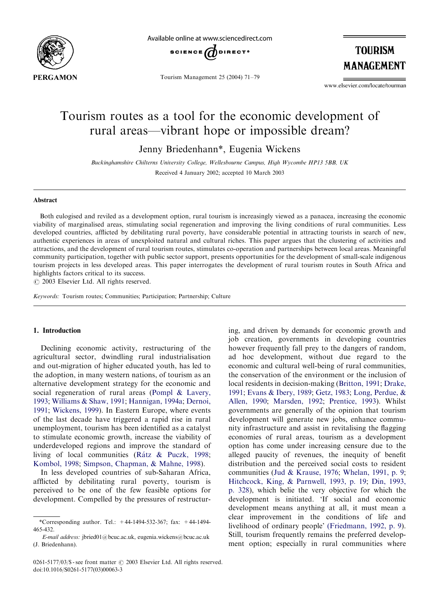

Available online at www.sciencedirect.com



Tourism Management 25 (2004) 71–79

**TOURISM MANAGEMENT** 

www.elsevier.com/locate/tourman

## Tourism routes as a tool for the economic development of rural areas—vibrant hope or impossible dream?

Jenny Briedenhann\*, Eugenia Wickens

Buckinghamshire Chilterns University College, Wellesbourne Campus, High Wycombe HP13 5BB, UK Received 4 January 2002; accepted 10 March 2003

### Abstract

Both eulogised and reviled as a development option, rural tourism is increasingly viewed as a panacea, increasing the economic viability of marginalised areas, stimulating social regeneration and improving the living conditions of rural communities. Less developed countries, afflicted by debilitating rural poverty, have considerable potential in attracting tourists in search of new, authentic experiences in areas of unexploited natural and cultural riches. This paper argues that the clustering of activities and attractions, and the development of rural tourism routes, stimulates co-operation and partnerships between local areas. Meaningful community participation, together with public sector support, presents opportunities for the development of small-scale indigenous tourism projects in less developed areas. This paper interrogates the development of rural tourism routes in South Africa and highlights factors critical to its success.

 $C$  2003 Elsevier Ltd. All rights reserved.

Keywords: Tourism routes; Communities; Participation; Partnership; Culture

## 1. Introduction

Declining economic activity, restructuring of the agricultural sector, dwindling rural industrialisation and out-migration of higher educated youth, has led to the adoption, in many western nations, of tourism as an alternative development strategy for the economic and social regeneration of rural areas ([Pompl](#page--1-0) & [Lavery,](#page--1-0) [1993;](#page--1-0) [Williams](#page--1-0) & [Shaw, 1991](#page--1-0); [Hannigan, 1994a;](#page--1-0) [Dernoi,](#page--1-0) [1991;](#page--1-0) [Wickens, 1999](#page--1-0)). In Eastern Europe, where events of the last decade have triggered a rapid rise in rural unemployment, tourism has been identified as a catalyst to stimulate economic growth, increase the viability of underdeveloped regions and improve the standard of living of local communities (Rátz & Puczk, 1998; [Kombol, 1998](#page--1-0); [Simpson, Chapman,](#page--1-0) & [Mahne, 1998\)](#page--1-0).

In less developed countries of sub-Saharan Africa, afflicted by debilitating rural poverty, tourism is perceived to be one of the few feasible options for development. Compelled by the pressures of restructur-

ing, and driven by demands for economic growth and job creation, governments in developing countries however frequently fall prey to the dangers of random, ad hoc development, without due regard to the economic and cultural well-being of rural communities, the conservation of the environment or the inclusion of local residents in decision-making [\(Britton, 1991](#page--1-0); [Drake,](#page--1-0) [1991;](#page--1-0) [Evans & Ibery, 1989;](#page--1-0) [Getz, 1983;](#page--1-0) [Long, Perdue,](#page--1-0) & [Allen, 1990;](#page--1-0) [Marsden, 1992;](#page--1-0) [Prentice, 1993\)](#page--1-0). Whilst governments are generally of the opinion that tourism development will generate new jobs, enhance community infrastructure and assist in revitalising the flagging economies of rural areas, tourism as a development option has come under increasing censure due to the alleged paucity of revenues, the inequity of benefit distribution and the perceived social costs to resident communities ([Jud & Krause, 1976;](#page--1-0) [Whelan, 1991, p. 9](#page--1-0); [Hitchcock, King,](#page--1-0) [& Parnwell, 1993, p. 19;](#page--1-0) [Din, 1993,](#page--1-0) [p. 328\)](#page--1-0), which belie the very objective for which the development is initiated. 'If social and economic development means anything at all, it must mean a clear improvement in the conditions of life and livelihood of ordinary people' [\(Friedmann, 1992, p. 9\)](#page--1-0). Still, tourism frequently remains the preferred development option; especially in rural communities where

<sup>\*</sup>Corresponding author. Tel.: +44-1494-532-367; fax: +44-1494- 465-432.

E-mail address: jbried01@bcuc.ac.uk, eugenia.wickens@bcuc.ac.uk (J. Briedenhann).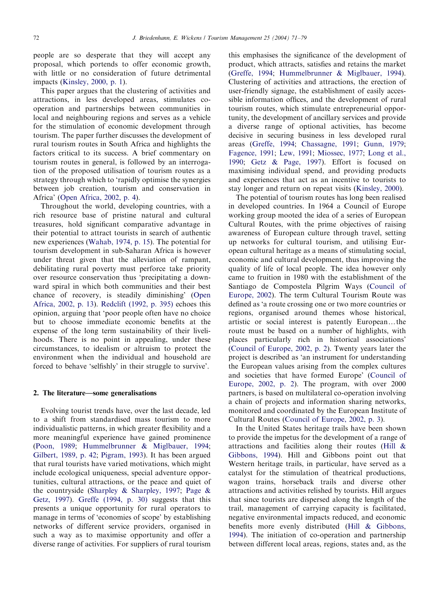people are so desperate that they will accept any proposal, which portends to offer economic growth, with little or no consideration of future detrimental impacts [\(Kinsley, 2000, p. 1](#page--1-0)).

This paper argues that the clustering of activities and attractions, in less developed areas, stimulates cooperation and partnerships between communities in local and neighbouring regions and serves as a vehicle for the stimulation of economic development through tourism. The paper further discusses the development of rural tourism routes in South Africa and highlights the factors critical to its success. A brief commentary on tourism routes in general, is followed by an interrogation of the proposed utilisation of tourism routes as a strategy through which to 'rapidly optimise the synergies between job creation, tourism and conservation in Africa' [\(Open Africa, 2002, p. 4](#page--1-0)).

Throughout the world, developing countries, with a rich resource base of pristine natural and cultural treasures, hold significant comparative advantage in their potential to attract tourists in search of authentic new experiences [\(Wahab, 1974, p. 15](#page--1-0)). The potential for tourism development in sub-Saharan Africa is however under threat given that the alleviation of rampant, debilitating rural poverty must perforce take priority over resource conservation thus 'precipitating a downward spiral in which both communities and their best chance of recovery, is steadily diminishing' ([Open](#page--1-0) [Africa, 2002, p. 13](#page--1-0)). [Redclift \(1992, p. 395\)](#page--1-0) echoes this opinion, arguing that 'poor people often have no choice but to choose immediate economic benefits at the expense of the long term sustainability of their livelihoods. There is no point in appealing, under these circumstances, to idealism or altruism to protect the environment when the individual and household are forced to behave 'selfishly' in their struggle to survive'.

#### 2. The literature—some generalisations

Evolving tourist trends have, over the last decade, led to a shift from standardised mass tourism to more individualistic patterns, in which greater flexibility and a more meaningful experience have gained prominence [\(Poon, 1989](#page--1-0); [Hummelbrunner & Miglbauer, 1994](#page--1-0); [Gilbert, 1989, p. 42;](#page--1-0) [Pigram, 1993](#page--1-0)). It has been argued that rural tourists have varied motivations, which might include ecological uniqueness, special adventure opportunities, cultural attractions, or the peace and quiet of the countryside [\(Sharpley](#page--1-0) & [Sharpley, 1997;](#page--1-0) [Page](#page--1-0) & [Getz, 1997\)](#page--1-0). [Greffe \(1994, p. 30\)](#page--1-0) suggests that this presents a unique opportunity for rural operators to manage in terms of 'economies of scope' by establishing networks of different service providers, organised in such a way as to maximise opportunity and offer a diverse range of activities. For suppliers of rural tourism this emphasises the significance of the development of product, which attracts, satisfies and retains the market [\(Greffe, 1994](#page--1-0); [Hummelbrunner & Miglbauer, 1994\)](#page--1-0). Clustering of activities and attractions, the erection of user-friendly signage, the establishment of easily accessible information offices, and the development of rural tourism routes, which stimulate entrepreneurial opportunity, the development of ancillary services and provide a diverse range of optional activities, has become decisive in securing business in less developed rural areas ([Greffe, 1994;](#page--1-0) [Chassagne, 1991;](#page--1-0) [Gunn, 1979](#page--1-0); [Fagence, 1991;](#page--1-0) [Lew, 1991](#page--1-0); [Miossec, 1977;](#page--1-0) [Long et al.,](#page--1-0) [1990;](#page--1-0) [Getz & Page, 1997](#page--1-0)). Effort is focused on maximising individual spend, and providing products and experiences that act as an incentive to tourists to stay longer and return on repeat visits ([Kinsley, 2000](#page--1-0)).

The potential of tourism routes has long been realised in developed countries. In 1964 a Council of Europe working group mooted the idea of a series of European Cultural Routes, with the prime objectives of raising awareness of European culture through travel, setting up networks for cultural tourism, and utilising European cultural heritage as a means of stimulating social, economic and cultural development, thus improving the quality of life of local people. The idea however only came to fruition in 1980 with the establishment of the Santiago de Compostela Pilgrim Ways ([Council of](#page--1-0) [Europe, 2002\)](#page--1-0). The term Cultural Tourism Route was defined as 'a route crossing one or two more countries or regions, organised around themes whose historical, artistic or social interest is patently European...the route must be based on a number of highlights, with places particularly rich in historical associations' [\(Council of Europe, 2002, p. 2\)](#page--1-0). Twenty years later the project is described as 'an instrument for understanding the European values arising from the complex cultures and societies that have formed Europe' ([Council of](#page--1-0) [Europe, 2002, p. 2](#page--1-0)). The program, with over 2000 partners, is based on multilateral co-operation involving a chain of projects and information sharing networks, monitored and coordinated by the European Institute of Cultural Routes ([Council of Europe, 2002, p. 3\)](#page--1-0).

In the United States heritage trails have been shown to provide the impetus for the development of a range of attractions and facilities along their routes [\(Hill](#page--1-0) & [Gibbons, 1994\)](#page--1-0). Hill and Gibbons point out that Western heritage trails, in particular, have served as a catalyst for the stimulation of theatrical productions, wagon trains, horseback trails and diverse other attractions and activities relished by tourists. Hill argues that since tourists are dispersed along the length of the trail, management of carrying capacity is facilitated, negative environmental impacts reduced, and economic benefits more evenly distributed ([Hill](#page--1-0) & [Gibbons,](#page--1-0) [1994\)](#page--1-0). The initiation of co-operation and partnership between different local areas, regions, states and, as the